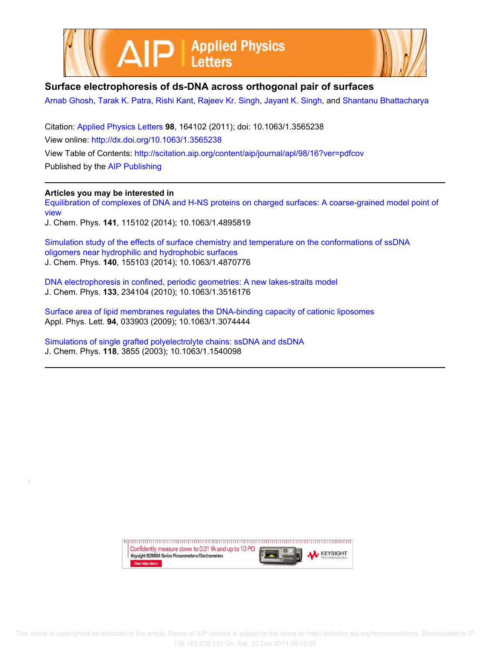



## **Surface electrophoresis of ds-DNA across orthogonal pair of surfaces**

Arnab Ghosh, Tarak K. Patra, Rishi Kant, Rajeev Kr. Singh, Jayant K. Singh, and Shantanu Bhattacharya

Citation: Applied Physics Letters **98**, 164102 (2011); doi: 10.1063/1.3565238 View online: http://dx.doi.org/10.1063/1.3565238 View Table of Contents: http://scitation.aip.org/content/aip/journal/apl/98/16?ver=pdfcov Published by the AIP Publishing

## **Articles you may be interested in**

Equilibration of complexes of DNA and H-NS proteins on charged surfaces: A coarse-grained model point of view

J. Chem. Phys. **141**, 115102 (2014); 10.1063/1.4895819

Simulation study of the effects of surface chemistry and temperature on the conformations of ssDNA oligomers near hydrophilic and hydrophobic surfaces J. Chem. Phys. **140**, 155103 (2014); 10.1063/1.4870776

DNA electrophoresis in confined, periodic geometries: A new lakes-straits model J. Chem. Phys. **133**, 234104 (2010); 10.1063/1.3516176

Surface area of lipid membranes regulates the DNA-binding capacity of cationic liposomes Appl. Phys. Lett. **94**, 033903 (2009); 10.1063/1.3074444

Simulations of single grafted polyelectrolyte chains: ssDNA and dsDNA J. Chem. Phys. **118**, 3855 (2003); 10.1063/1.1540098

> Confidently measure down to 0.01 fA and up to 10 P $\Omega$ **KEYSIGHT** Keysight B2980A Series Picoammeters/Electrometers View video demo>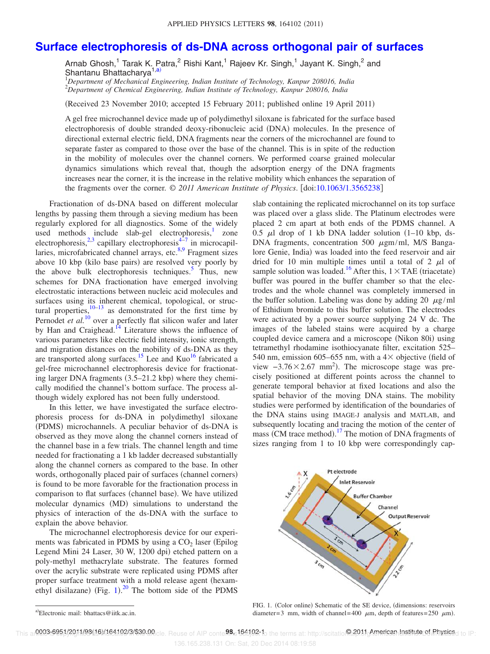## **Surface electrophoresis of ds-DNA across orthogonal pair of surfaces**

Arnab Ghosh,<sup>1</sup> Tarak K. Patra,<sup>2</sup> Rishi Kant,<sup>1</sup> Rajeev Kr. Singh,<sup>1</sup> Jayant K. Singh,<sup>2</sup> and Shantanu Bhattacharya<sup>1,a)</sup>

<sup>1</sup>*Department of Mechanical Engineering, Indian Institute of Technology, Kanpur 208016, India* <sup>2</sup>*Department of Chemical Engineering, Indian Institute of Technology, Kanpur 208016, India*

(Received 23 November 2010; accepted 15 February 2011; published online 19 April 2011)

A gel free microchannel device made up of polydimethyl siloxane is fabricated for the surface based electrophoresis of double stranded deoxy-ribonucleic acid (DNA) molecules. In the presence of directional external electric field, DNA fragments near the corners of the microchannel are found to separate faster as compared to those over the base of the channel. This is in spite of the reduction in the mobility of molecules over the channel corners. We performed coarse grained molecular dynamics simulations which reveal that, though the adsorption energy of the DNA fragments increases near the corner, it is the increase in the relative mobility which enhances the separation of the fragments over the corner. © 2011 American Institute of Physics. [doi:10.1063/1.3565238]

Fractionation of ds-DNA based on different molecular lengths by passing them through a sieving medium has been regularly explored for all diagnostics. Some of the widely used methods include slab-gel electrophoresis,<sup>1</sup> zone electrophoresis,  $2,3$  capillary electrophoresis<sup>4-7</sup> in microcapillaries, microfabricated channel arrays, etc.<sup>8,9</sup> Fragment sizes above 10 kbp (kilo base pairs) are resolved very poorly by the above bulk electrophoresis techniques.<sup>5</sup> Thus, new schemes for DNA fractionation have emerged involving electrostatic interactions between nucleic acid molecules and surfaces using its inherent chemical, topological, or structural properties, $10-13$  as demonstrated for the first time by Pernodet *et al.*<sup>10</sup> over a perfectly flat silicon wafer and later by Han and Craighead. $^{14}$  Literature shows the influence of various parameters like electric field intensity, ionic strength, and migration distances on the mobility of ds-DNA as they are transported along surfaces.<sup>15</sup> Lee and Kuo<sup>16</sup> fabricated a gel-free microchannel electrophoresis device for fractionating larger DNA fragments (3.5–21.2 kbp) where they chemically modified the channel's bottom surface. The process although widely explored has not been fully understood.

In this letter, we have investigated the surface electrophoresis process for ds-DNA in polydimethyl siloxane (PDMS) microchannels. A peculiar behavior of ds-DNA is observed as they move along the channel corners instead of the channel base in a few trials. The channel length and time needed for fractionating a 1 kb ladder decreased substantially along the channel corners as compared to the base. In other words, orthogonally placed pair of surfaces (channel corners) is found to be more favorable for the fractionation process in comparison to flat surfaces (channel base). We have utilized molecular dynamics (MD) simulations to understand the physics of interaction of the ds-DNA with the surface to explain the above behavior.

The microchannel electrophoresis device for our experiments was fabricated in PDMS by using a  $CO<sub>2</sub>$  laser (Epilog Legend Mini 24 Laser, 30 W, 1200 dpi) etched pattern on a poly-methyl methacrylate substrate. The features formed over the acrylic substrate were replicated using PDMS after proper surface treatment with a mold release agent (hexamethyl disilazane) (Fig.  $1$ ).<sup>20</sup> The bottom side of the PDMS

slab containing the replicated microchannel on its top surface was placed over a glass slide. The Platinum electrodes were placed 2 cm apart at both ends of the PDMS channel. A 0.5  $\mu$ l drop of 1 kb DNA ladder solution (1-10 kbp, ds-DNA fragments, concentration 500  $\mu$ gm/ml, M/S Bangalore Genie, India) was loaded into the feed reservoir and air dried for 10 min multiple times until a total of 2  $\mu$ l of sample solution was loaded.<sup>16</sup> After this,  $1 \times \text{TAE}$  (triacetate) buffer was poured in the buffer chamber so that the electrodes and the whole channel was completely immersed in the buffer solution. Labeling was done by adding 20  $\mu$ g/ml of Ethidium bromide to this buffer solution. The electrodes were activated by a power source supplying 24 V dc. The images of the labeled stains were acquired by a charge coupled device camera and a microscope (Nikon 80i) using tetramethyl rhodamine isothiocyanate filter, excitation 525– 540 nm, emission 605–655 nm, with a  $4\times$  objective (field of view  $-3.76 \times 2.67$  mm<sup>2</sup>). The microscope stage was precisely positioned at different points across the channel to generate temporal behavior at fixed locations and also the spatial behavior of the moving DNA stains. The mobility studies were performed by identification of the boundaries of the DNA stains using IMAGE-J analysis and MATLAB, and subsequently locating and tracing the motion of the center of mass (CM trace method).<sup>17</sup> The motion of DNA fragments of sizes ranging from 1 to 10 kbp were correspondingly cap-



FIG. 1. (Color online) Schematic of the SE device, (dimensions: reservoirs diameter=3 mm, width of channel=400  $\mu$ m, depth of features=250  $\mu$ m).

a Electronic mail: bhattacs@iitk.ac.in.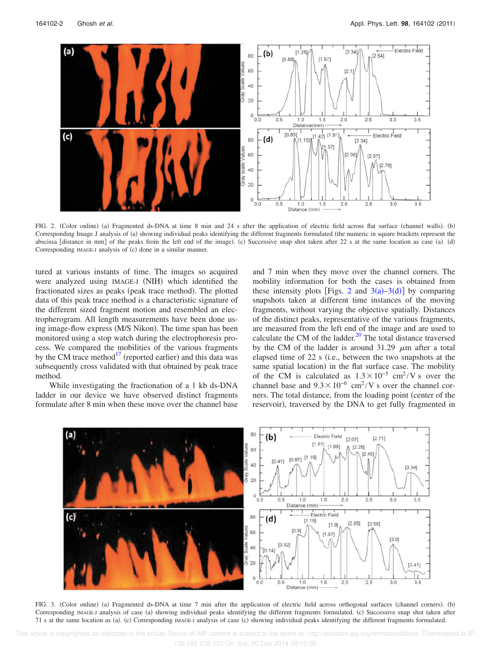

FIG. 2. (Color online) (a) Fragmented ds-DNA at time 8 min and 24 s after the application of electric field across flat surface (channel walls). (b) Corresponding Image J analysis of (a) showing individual peaks identifying the different fragments formulated (the numeric in square brackets represent the abscissa [distance in mm] of the peaks from the left end of the image). (c) Successive snap shot taken after 22 s at the same location as case (a). (d) Corresponding IMAGE-J analysis of (c) done in a similar manner.

tured at various instants of time. The images so acquired were analyzed using IMAGE-J (NIH) which identified the fractionated sizes as peaks (peak trace method). The plotted data of this peak trace method is a characteristic signature of the different sized fragment motion and resembled an electropherogram. All length measurements have been done using image-flow express (M/S Nikon). The time span has been monitored using a stop watch during the electrophoresis process. We compared the mobilities of the various fragments by the CM trace method $17$  (reported earlier) and this data was subsequently cross validated with that obtained by peak trace method.

While investigating the fractionation of a 1 kb ds-DNA ladder in our device we have observed distinct fragments formulate after 8 min when these move over the channel base and 7 min when they move over the channel corners. The mobility information for both the cases is obtained from these intensity plots [Figs. 2 and  $3(a) - 3(d)$ ] by comparing snapshots taken at different time instances of the moving fragments, without varying the objective spatially. Distances of the distinct peaks, representative of the various fragments, are measured from the left end of the image and are used to calculate the CM of the ladder. $^{20}$  The total distance traversed by the CM of the ladder is around 31.29  $\mu$ m after a total elapsed time of 22 s (i.e., between the two snapshots at the same spatial location) in the flat surface case. The mobility of the CM is calculated as  $1.3 \times 10^{-5}$  cm<sup>2</sup>/V s over the channel base and  $9.3 \times 10^{-6}$  cm<sup>2</sup>/V s over the channel corners. The total distance, from the loading point (center of the reservoir), traversed by the DNA to get fully fragmented in



FIG. 3. (Color online) (a) Fragmented ds-DNA at time 7 min after the application of electric field across orthogonal surfaces (channel corners). (b) Corresponding IMAGE-J analysis of case (a) showing individual peaks identifying the different fragments formulated. (c) Successive snap shot taken after 71 s at the same location as (a). (c) Corresponding IMAGE-J analysis of case (c) showing individual peaks identifying the different fragments formulated.

 This article is copyrighted as indicated in the article. Reuse of AIP content is subject to the terms at: http://scitation.aip.org/termsconditions. Downloaded to IP: 136.165.238.131 On: Sat, 20 Dec 2014 08:19:58